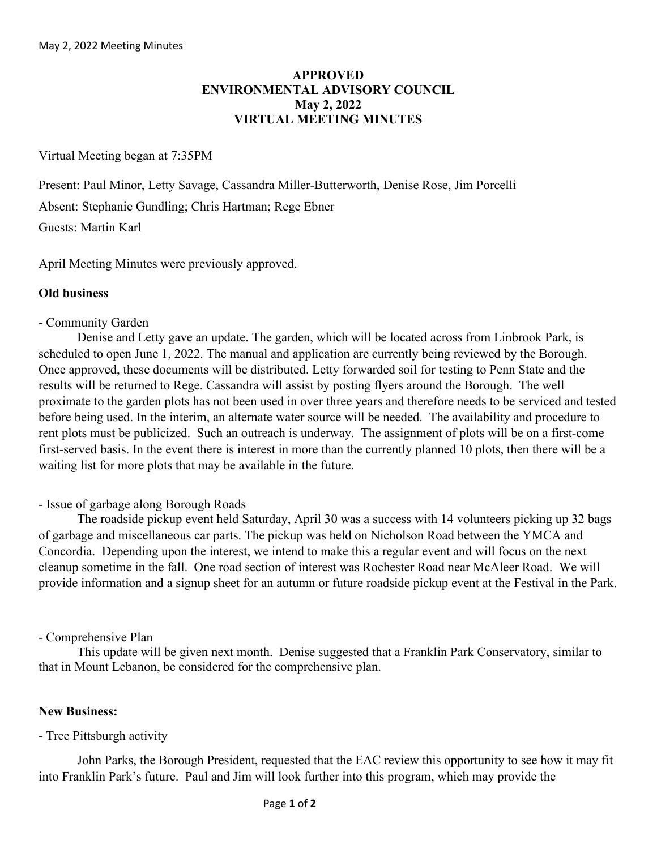# **APPROVED ENVIRONMENTAL ADVISORY COUNCIL May 2, 2022 VIRTUAL MEETING MINUTES**

## Virtual Meeting began at 7:35PM

Present: Paul Minor, Letty Savage, Cassandra Miller-Butterworth, Denise Rose, Jim Porcelli Absent: Stephanie Gundling; Chris Hartman; Rege Ebner Guests: Martin Karl

April Meeting Minutes were previously approved.

## **Old business**

### - Community Garden

Denise and Letty gave an update. The garden, which will be located across from Linbrook Park, is scheduled to open June 1, 2022. The manual and application are currently being reviewed by the Borough. Once approved, these documents will be distributed. Letty forwarded soil for testing to Penn State and the results will be returned to Rege. Cassandra will assist by posting flyers around the Borough. The well proximate to the garden plots has not been used in over three years and therefore needs to be serviced and tested before being used. In the interim, an alternate water source will be needed. The availability and procedure to rent plots must be publicized. Such an outreach is underway. The assignment of plots will be on a first-come first-served basis. In the event there is interest in more than the currently planned 10 plots, then there will be a waiting list for more plots that may be available in the future.

### - Issue of garbage along Borough Roads

The roadside pickup event held Saturday, April 30 was a success with 14 volunteers picking up 32 bags of garbage and miscellaneous car parts. The pickup was held on Nicholson Road between the YMCA and Concordia. Depending upon the interest, we intend to make this a regular event and will focus on the next cleanup sometime in the fall. One road section of interest was Rochester Road near McAleer Road. We will provide information and a signup sheet for an autumn or future roadside pickup event at the Festival in the Park.

### - Comprehensive Plan

This update will be given next month. Denise suggested that a Franklin Park Conservatory, similar to that in Mount Lebanon, be considered for the comprehensive plan.

### **New Business:**

### - Tree Pittsburgh activity

John Parks, the Borough President, requested that the EAC review this opportunity to see how it may fit into Franklin Park's future. Paul and Jim will look further into this program, which may provide the